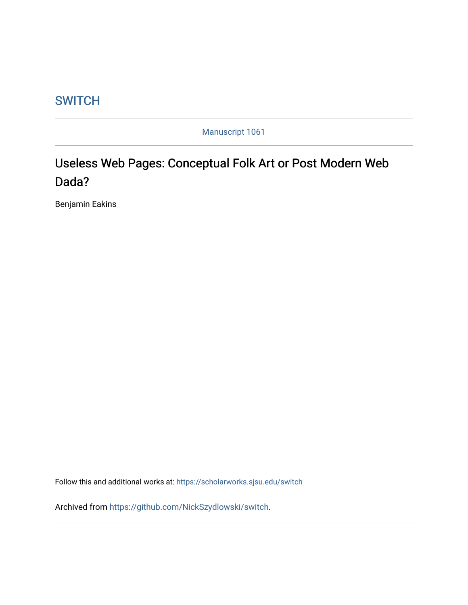## **SWITCH**

Manuscript 1061

## Useless Web Pages: Conceptual Folk Art or Post Modern Web Dada?

Benjamin Eakins

Follow this and additional works at: [https://scholarworks.sjsu.edu/switch](https://scholarworks.sjsu.edu/switch?utm_source=scholarworks.sjsu.edu%2Fswitch%2Fvol6%2Fiss1%2F1&utm_medium=PDF&utm_campaign=PDFCoverPages)

Archived from [https://github.com/NickSzydlowski/switch.](http://switch.sjsu.edu/archive/nextswitch/switch_engine/front/front.php%3Fartc=54.html%3C/a%3E.%20Documentation%20of%20the%20preservation%20processes%20used%20for%20this%20collection%20is%20available%20at%20%3Ca%20href=)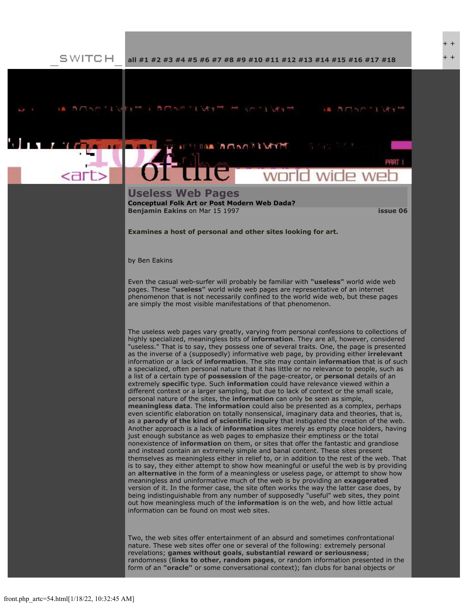+ +

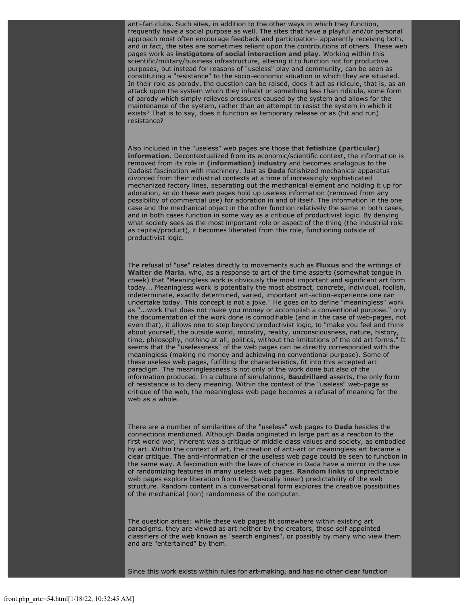anti-fan clubs. Such sites, in addition to the other ways in which they function, frequently have a social purpose as well. The sites that have a playful and/or personal approach most often encourage feedback and participation- apparently receiving both, and in fact, the sites are sometimes reliant upon the contributions of others. These web pages work as **[instigators of social interaction and play](http://members.aol.com/truddysuggs/lint.html)**. Working within this scientific/military/business infrastructure, altering it to function not for productive purposes, but instead for reasons of "useless" play and community, can be seen as constituting a "resistance" to the socio-economic situation in which they are situated. In their role as parody, the question can be raised, does it act as ridicule, that is, as an attack upon the system which they inhabit or something less than ridicule, some form of parody which simply relieves pressures caused by the system and allows for the maintenance of the system, rather than an attempt to resist the system in which it exists? That is to say, does it function as temporary release or as (hit and run) resistance?

Also included in the "useless" web pages are those that **[fetishize \(particular\)](http://www.leland.stanford.edu/~jenkg/useless.html) [information](http://www.leland.stanford.edu/~jenkg/useless.html)**. Decontextualized from its economic/scientific context, the information is removed from its role in **[\(information\) industry](file:///Users/nszydlowski/Desktop/websites%20copy/Switch%20Journal/switch.sjsu.edu/nextswitch/switch_engine/front/information.economy.html)** and becomes analogous to the Dadaist fascination with machinery. Just as **[Dada](http://www.lib.uiowa.edu/dada/)** fetishized mechanical apparatus divorced from their industrial contexts at a time of increasingly sophisticated mechanized factory lines, separating out the mechanical element and holding it up for adoration, so do these web pages hold up useless information (removed from any possibility of commercial use) for adoration in and of itself. The information in the one case and the mechanical object in the other function relatively the same in both cases, and in both cases function in some way as a critique of productivist logic. By denying what society sees as the most important role or aspect of the thing (the industrial role as capital/product), it becomes liberated from this role, functioning outside of productivist logic.

The refusal of "use" relates directly to movements such as **[Fluxus](http://www.artpool.hu/fluxusbibliography.html)** and the writings of **[Walter de Maria](http://www.diacenter.org/permcoll/demaria/demaria.html)**, who, as a response to art of the time asserts (somewhat tongue in cheek) that "Meaningless work is obviously the most important and significant art form today... Meaningless work is potentially the most abstract, concrete, individual, foolish, indeterminate, exactly determined, varied, important art-action-experience one can undertake today. This concept is not a joke." He goes on to define "meaningless" work as "...work that does not make you money or accomplish a conventional purpose." only the documentation of the work done is comodifiable (and in the case of web-pages, not even that), it allows one to step beyond productivist logic, to "make you feel and think about yourself, the outside world, morality, reality, unconsciousness, nature, history, time, philosophy, nothing at all, politics, without the limitations of the old art forms." It seems that the "uselessness" of the web pages can be directly corresponded with the meaningless (making no money and achieving no conventional purpose). Some of these useless web pages, fulfilling the characteristics, fit into this accepted art paradigm. The meaninglessness is not only of the work done but also of the information produced. In a culture of simulations, **[Baudrillard](http://www.uta.edu/english/apt/collab/baudweb.html)** asserts, the only form of resistance is to deny meaning. Within the context of the "useless" web-page as critique of the web, the meaningless web page becomes a refusal of meaning for the web as a whole.

There are a number of similarities of the "useless" web pages to **[Dada](http://www.peak.org/~dadaist/)** besides the connections mentioned. Although **[Dada](http://www.yahoo.co.uk/text/Arts/Art_History/Genres/Dada/)** originated in large part as a reaction to the first world war, inherent was a critique of middle class values and society, as embodied by art. Within the context of art, the creation of anti-art or meaningless art became a clear critique. The anti-information of the useless web page could be seen to function in the same way. A fascination with the laws of chance in Dada have a mirror in the use of randomizing features in many useless web pages. **[Random links](http://www2.bitstream.net/~kidd/isp.html)** to unpredictable web pages explore liberation from the (basically linear) predictability of the web structure. Random content in a conversational form explores the creative possibilities of the mechanical (non) randomness of the computer.

The question arises: while these web pages fit somewhere within existing art paradigms, they are viewed as art neither by the creators, those self appointed classifiers of the web known as "search engines", or possibly by many who view them and are "entertained" by them.

Since this work exists within rules for art-making, and has no other clear function